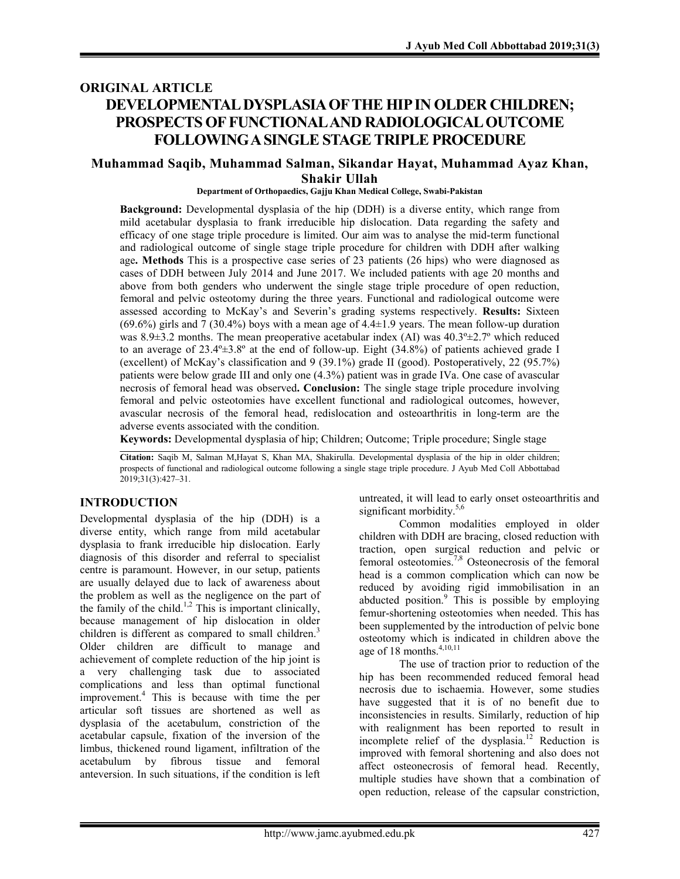# **ORIGINAL ARTICLE DEVELOPMENTAL DYSPLASIA OF THE HIP IN OLDER CHILDREN; PROSPECTS OF FUNCTIONAL AND RADIOLOGICAL OUTCOME FOLLOWING A SINGLE STAGE TRIPLE PROCEDURE**

### **Muhammad Saqib, Muhammad Salman, Sikandar Hayat, Muhammad Ayaz Khan, Shakir Ullah**

#### **Department of Orthopaedics, Gajju Khan Medical College, Swabi-Pakistan**

**Background:** Developmental dysplasia of the hip (DDH) is a diverse entity, which range from mild acetabular dysplasia to frank irreducible hip dislocation. Data regarding the safety and efficacy of one stage triple procedure is limited. Our aim was to analyse the mid-term functional and radiological outcome of single stage triple procedure for children with DDH after walking age**. Methods** This is a prospective case series of 23 patients (26 hips) who were diagnosed as cases of DDH between July 2014 and June 2017. We included patients with age 20 months and above from both genders who underwent the single stage triple procedure of open reduction, femoral and pelvic osteotomy during the three years. Functional and radiological outcome were assessed according to McKay's and Severin's grading systems respectively. **Results:** Sixteen (69.6%) girls and  $7$  (30.4%) boys with a mean age of 4.4±1.9 years. The mean follow-up duration was 8.9 $\pm$ 3.2 months. The mean preoperative acetabular index (AI) was 40.3 $\pm$ 2.7 $\degree$  which reduced to an average of 23.4º±3.8º at the end of follow-up. Eight (34.8%) of patients achieved grade I (excellent) of McKay's classification and 9 (39.1%) grade II (good). Postoperatively, 22 (95.7%) patients were below grade III and only one (4.3%) patient was in grade IVa. One case of avascular necrosis of femoral head was observed**. Conclusion:** The single stage triple procedure involving femoral and pelvic osteotomies have excellent functional and radiological outcomes, however, avascular necrosis of the femoral head, redislocation and osteoarthritis in long-term are the adverse events associated with the condition.

**Keywords:** Developmental dysplasia of hip; Children; Outcome; Triple procedure; Single stage

**Citation:** Saqib M, Salman M,Hayat S, Khan MA, Shakirulla. Developmental dysplasia of the hip in older children; prospects of functional and radiological outcome following a single stage triple procedure. J Ayub Med Coll Abbottabad 2019;31(3):427–31.

#### **INTRODUCTION**

Developmental dysplasia of the hip (DDH) is a diverse entity, which range from mild acetabular dysplasia to frank irreducible hip dislocation. Early diagnosis of this disorder and referral to specialist centre is paramount. However, in our setup, patients are usually delayed due to lack of awareness about the problem as well as the negligence on the part of the family of the child.<sup>1,2</sup> This is important clinically, because management of hip dislocation in older children is different as compared to small children.<sup>3</sup> Older children are difficult to manage and achievement of complete reduction of the hip joint is a very challenging task due to associated complications and less than optimal functional improvement.<sup>4</sup> This is because with time the per articular soft tissues are shortened as well as dysplasia of the acetabulum, constriction of the acetabular capsule, fixation of the inversion of the limbus, thickened round ligament, infiltration of the acetabulum by fibrous tissue and femoral anteversion. In such situations, if the condition is left

untreated, it will lead to early onset osteoarthritis and significant morbidity.<sup>5,6</sup>

Common modalities employed in older children with DDH are bracing, closed reduction with traction, open surgical reduction and pelvic or femoral osteotomies.7,8 Osteonecrosis of the femoral head is a common complication which can now be reduced by avoiding rigid immobilisation in an abducted position.<sup>9</sup> This is possible by employing femur-shortening osteotomies when needed. This has been supplemented by the introduction of pelvic bone osteotomy which is indicated in children above the age of 18 months. $4,10,11$ 

The use of traction prior to reduction of the hip has been recommended reduced femoral head necrosis due to ischaemia. However, some studies have suggested that it is of no benefit due to inconsistencies in results. Similarly, reduction of hip with realignment has been reported to result in incomplete relief of the dysplasia.<sup>12</sup> Reduction is improved with femoral shortening and also does not affect osteonecrosis of femoral head. Recently, multiple studies have shown that a combination of open reduction, release of the capsular constriction,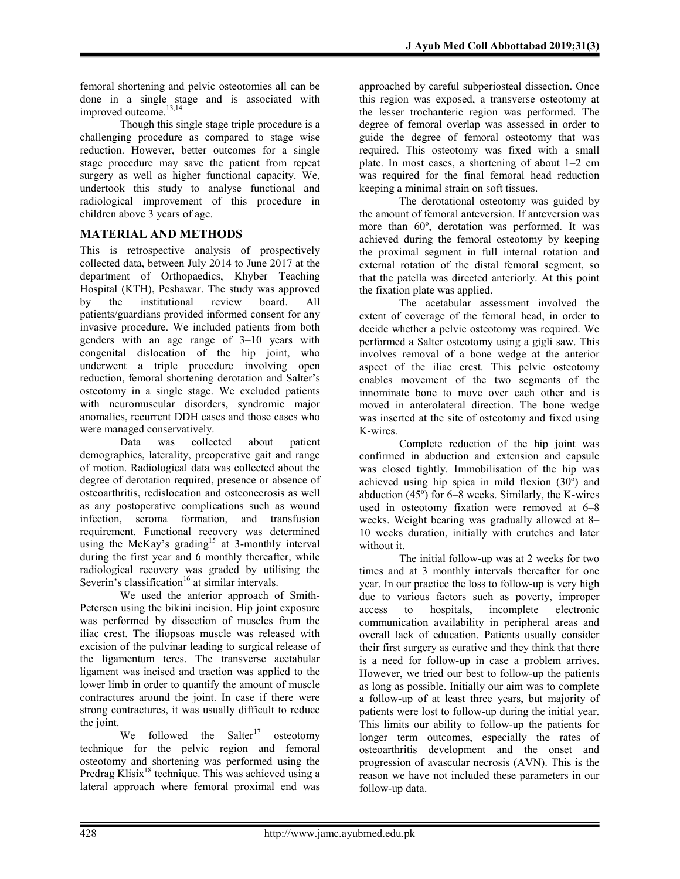femoral shortening and pelvic osteotomies all can be done in a single stage and is associated with improved outcome.<sup>13,14</sup>

Though this single stage triple procedure is a challenging procedure as compared to stage wise reduction. However, better outcomes for a single stage procedure may save the patient from repeat surgery as well as higher functional capacity. We, undertook this study to analyse functional and radiological improvement of this procedure in children above 3 years of age.

# **MATERIAL AND METHODS**

This is retrospective analysis of prospectively collected data, between July 2014 to June 2017 at the department of Orthopaedics, Khyber Teaching Hospital (KTH), Peshawar. The study was approved by the institutional review board. All patients/guardians provided informed consent for any invasive procedure. We included patients from both genders with an age range of 3–10 years with congenital dislocation of the hip joint, who underwent a triple procedure involving open reduction, femoral shortening derotation and Salter's osteotomy in a single stage. We excluded patients with neuromuscular disorders, syndromic major anomalies, recurrent DDH cases and those cases who were managed conservatively.

Data was collected about patient demographics, laterality, preoperative gait and range of motion. Radiological data was collected about the degree of derotation required, presence or absence of osteoarthritis, redislocation and osteonecrosis as well as any postoperative complications such as wound infection, seroma formation, and transfusion requirement. Functional recovery was determined using the McKay's grading<sup>15</sup> at 3-monthly interval during the first year and 6 monthly thereafter, while radiological recovery was graded by utilising the Severin's classification<sup>16</sup> at similar intervals.

We used the anterior approach of Smith-Petersen using the bikini incision. Hip joint exposure was performed by dissection of muscles from the iliac crest. The iliopsoas muscle was released with excision of the pulvinar leading to surgical release of the ligamentum teres. The transverse acetabular ligament was incised and traction was applied to the lower limb in order to quantify the amount of muscle contractures around the joint. In case if there were strong contractures, it was usually difficult to reduce the joint.

We followed the Salter<sup>17</sup> osteotomy technique for the pelvic region and femoral osteotomy and shortening was performed using the Predrag Klisix<sup>18</sup> technique. This was achieved using a lateral approach where femoral proximal end was

approached by careful subperiosteal dissection. Once this region was exposed, a transverse osteotomy at the lesser trochanteric region was performed. The degree of femoral overlap was assessed in order to guide the degree of femoral osteotomy that was required. This osteotomy was fixed with a small plate. In most cases, a shortening of about 1–2 cm was required for the final femoral head reduction keeping a minimal strain on soft tissues.

The derotational osteotomy was guided by the amount of femoral anteversion. If anteversion was more than 60º, derotation was performed. It was achieved during the femoral osteotomy by keeping the proximal segment in full internal rotation and external rotation of the distal femoral segment, so that the patella was directed anteriorly. At this point the fixation plate was applied.

The acetabular assessment involved the extent of coverage of the femoral head, in order to decide whether a pelvic osteotomy was required. We performed a Salter osteotomy using a gigli saw. This involves removal of a bone wedge at the anterior aspect of the iliac crest. This pelvic osteotomy enables movement of the two segments of the innominate bone to move over each other and is moved in anterolateral direction. The bone wedge was inserted at the site of osteotomy and fixed using K-wires.

Complete reduction of the hip joint was confirmed in abduction and extension and capsule was closed tightly. Immobilisation of the hip was achieved using hip spica in mild flexion (30º) and abduction (45º) for 6–8 weeks. Similarly, the K-wires used in osteotomy fixation were removed at 6–8 weeks. Weight bearing was gradually allowed at 8– 10 weeks duration, initially with crutches and later without it.

The initial follow-up was at 2 weeks for two times and at 3 monthly intervals thereafter for one year. In our practice the loss to follow-up is very high due to various factors such as poverty, improper access to hospitals, incomplete electronic communication availability in peripheral areas and overall lack of education. Patients usually consider their first surgery as curative and they think that there is a need for follow-up in case a problem arrives. However, we tried our best to follow-up the patients as long as possible. Initially our aim was to complete a follow-up of at least three years, but majority of patients were lost to follow-up during the initial year. This limits our ability to follow-up the patients for longer term outcomes, especially the rates of osteoarthritis development and the onset and progression of avascular necrosis (AVN). This is the reason we have not included these parameters in our follow-up data.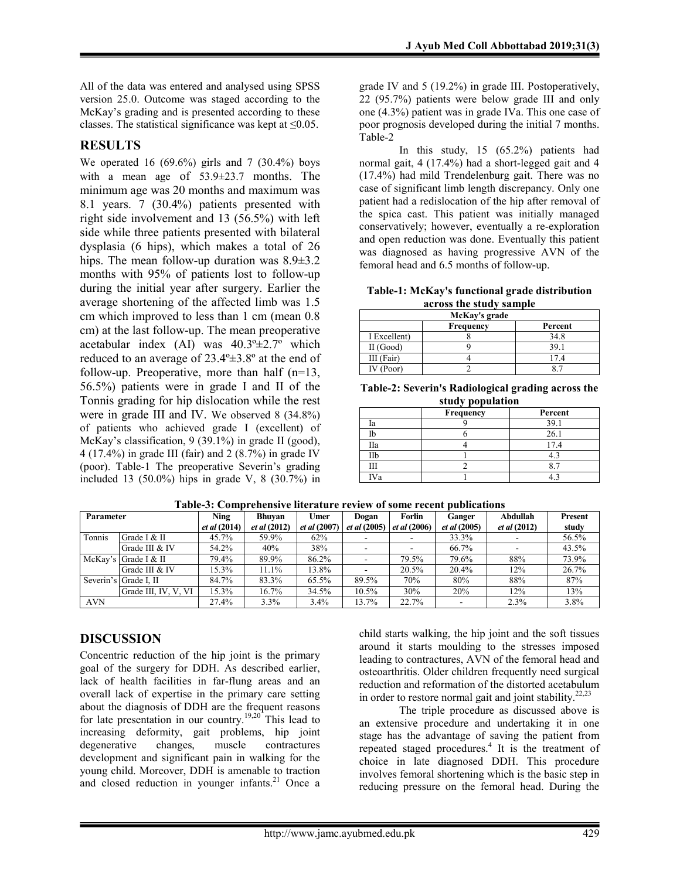All of the data was entered and analysed using SPSS version 25.0. Outcome was staged according to the McKay's grading and is presented according to these classes. The statistical significance was kept at  $\leq 0.05$ .

### **RESULTS**

We operated 16  $(69.6\%)$  girls and 7  $(30.4\%)$  boys with a mean age of 53.9±23.7 months. The minimum age was 20 months and maximum was 8.1 years. 7 (30.4%) patients presented with right side involvement and 13 (56.5%) with left side while three patients presented with bilateral dysplasia (6 hips), which makes a total of 26 hips. The mean follow-up duration was 8.9±3.2 months with 95% of patients lost to follow-up during the initial year after surgery. Earlier the average shortening of the affected limb was 1.5 cm which improved to less than 1 cm (mean 0.8 cm) at the last follow-up. The mean preoperative acetabular index (AI) was  $40.3^{\circ} \pm 2.7^{\circ}$  which reduced to an average of 23.4º±3.8º at the end of follow-up. Preoperative, more than half  $(n=13,$ 56.5%) patients were in grade I and II of the Tonnis grading for hip dislocation while the rest were in grade III and IV. We observed 8 (34.8%) of patients who achieved grade I (excellent) of McKay's classification, 9 (39.1%) in grade II (good), 4 (17.4%) in grade III (fair) and 2 (8.7%) in grade IV (poor). Table-1 The preoperative Severin's grading included 13  $(50.0\%)$  hips in grade V, 8  $(30.7\%)$  in

grade IV and 5 (19.2%) in grade III. Postoperatively, 22 (95.7%) patients were below grade III and only one (4.3%) patient was in grade IVa. This one case of poor prognosis developed during the initial 7 months. Table-2

In this study, 15 (65.2%) patients had normal gait, 4 (17.4%) had a short-legged gait and 4 (17.4%) had mild Trendelenburg gait. There was no case of significant limb length discrepancy. Only one patient had a redislocation of the hip after removal of the spica cast. This patient was initially managed conservatively; however, eventually a re-exploration and open reduction was done. Eventually this patient was diagnosed as having progressive AVN of the femoral head and 6.5 months of follow-up.

**Table-1: McKay's functional grade distribution across the study sample**

| across the stuur sample |           |         |  |  |  |  |
|-------------------------|-----------|---------|--|--|--|--|
| McKay's grade           |           |         |  |  |  |  |
|                         | Frequency | Percent |  |  |  |  |
| I Excellent)            |           | 34.8    |  |  |  |  |
| II (Good)               |           | 39.1    |  |  |  |  |
| III (Fair)              |           | 17.4    |  |  |  |  |
| IV (Poor)               |           |         |  |  |  |  |

**Table-2: Severin's Radiological grading across the study population**

|     | <b>Frequency</b> | Percent |
|-----|------------------|---------|
| la  |                  | 39.1    |
|     |                  | 26.1    |
| Пa  |                  | 7.4     |
| IIb |                  |         |
|     |                  |         |
| Va  |                  |         |

| TRANIA AL CANINI ANANIALE NON REAL A LA LIALE A NANIA LAMANI ARANIANA IN |                       |                                    |                                      |                             |                              |                               |                               |                                        |                         |  |  |
|--------------------------------------------------------------------------|-----------------------|------------------------------------|--------------------------------------|-----------------------------|------------------------------|-------------------------------|-------------------------------|----------------------------------------|-------------------------|--|--|
| Parameter                                                                |                       | <b>Ning</b><br><i>et al</i> (2014) | <b>Bhuyan</b><br><i>et al</i> (2012) | Umer<br><i>et al</i> (2007) | Dogan<br><i>et al</i> (2005) | Forlin<br><i>et al</i> (2006) | Ganger<br><i>et al</i> (2005) | <b>Abdullah</b><br><i>et al</i> (2012) | <b>Present</b><br>study |  |  |
| Tonnis                                                                   | Grade I & II          | 45.7%                              | 59.9%                                | 62%                         |                              |                               | 33.3%                         |                                        | 56.5%                   |  |  |
|                                                                          | Grade III & IV        | 54.2%                              | 40%                                  | 38%                         |                              |                               | 66.7%                         |                                        | 43.5%                   |  |  |
|                                                                          | McKay's Grade I & II  | 79.4%                              | 89.9%                                | 86.2%                       |                              | 79.5%                         | 79.6%                         | 88%                                    | 73.9%                   |  |  |
|                                                                          | Grade III & IV        | 15.3%                              | 11.1%                                | 13.8%                       |                              | 20.5%                         | 20.4%                         | 12%                                    | 26.7%                   |  |  |
|                                                                          | Severin's Grade I. II | 84.7%                              | 83.3%                                | 65.5%                       | 89.5%                        | 70%                           | 80%                           | 88%                                    | 87%                     |  |  |
|                                                                          | Grade III, IV, V, VI  | 15.3%                              | 16.7%                                | 34.5%                       | 10.5%                        | 30%                           | 20%                           | 12%                                    | 13%                     |  |  |
| <b>AVN</b>                                                               |                       | 27.4%                              | 3.3%                                 | 3.4%                        | 13.7%                        | 22.7%                         |                               | 2.3%                                   | 3.8%                    |  |  |

**Table-3: Comprehensive literature review of some recent publications**

# **DISCUSSION**

Concentric reduction of the hip joint is the primary goal of the surgery for DDH. As described earlier, lack of health facilities in far-flung areas and an overall lack of expertise in the primary care setting about the diagnosis of DDH are the frequent reasons for late presentation in our country.<sup>19,20</sup> This lead to increasing deformity, gait problems, hip joint degenerative changes, muscle contractures degenerative changes, muscle contractures development and significant pain in walking for the young child. Moreover, DDH is amenable to traction and closed reduction in younger infants.<sup>21</sup> Once a child starts walking, the hip joint and the soft tissues around it starts moulding to the stresses imposed leading to contractures, AVN of the femoral head and osteoarthritis. Older children frequently need surgical reduction and reformation of the distorted acetabulum in order to restore normal gait and joint stability.<sup>22,23</sup>

The triple procedure as discussed above is an extensive procedure and undertaking it in one stage has the advantage of saving the patient from repeated staged procedures.<sup>4</sup> It is the treatment of choice in late diagnosed DDH. This procedure involves femoral shortening which is the basic step in reducing pressure on the femoral head. During the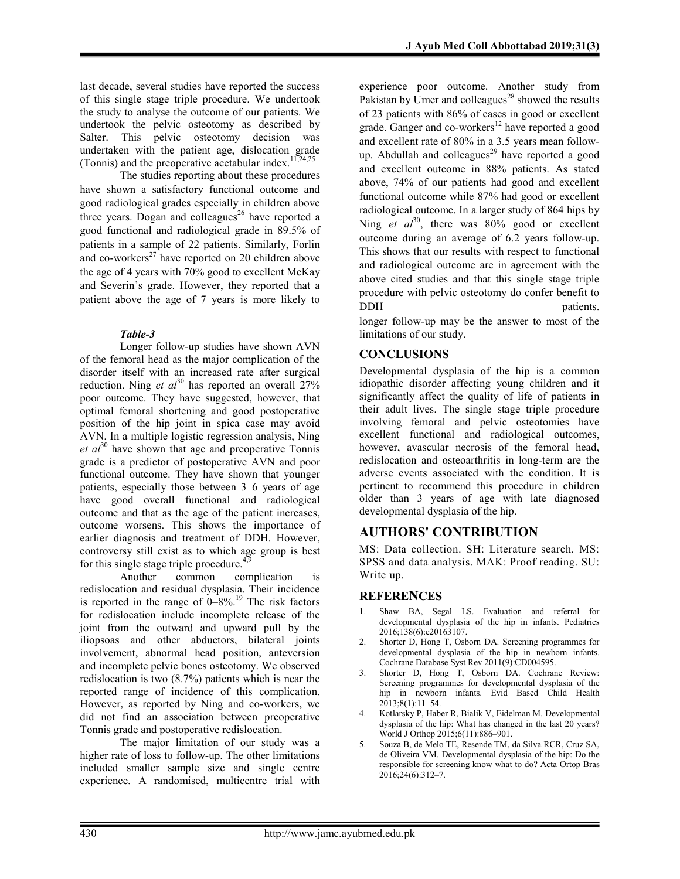last decade, several studies have reported the success of this single stage triple procedure. We undertook the study to analyse the outcome of our patients. We undertook the pelvic osteotomy as described by Salter. This pelvic osteotomy decision was undertaken with the patient age, dislocation grade (Tonnis) and the preoperative acetabular index.<sup>11,24,25</sup>

The studies reporting about these procedures have shown a satisfactory functional outcome and good radiological grades especially in children above three years. Dogan and colleagues<sup>26</sup> have reported a good functional and radiological grade in 89.5% of patients in a sample of 22 patients. Similarly, Forlin and co-workers<sup>27</sup> have reported on 20 children above the age of 4 years with 70% good to excellent McKay and Severin's grade. However, they reported that a patient above the age of 7 years is more likely to

#### *Table-3*

Longer follow-up studies have shown AVN of the femoral head as the major complication of the disorder itself with an increased rate after surgical reduction. Ning *et al*<sup>30</sup> has reported an overall  $27\%$ poor outcome. They have suggested, however, that optimal femoral shortening and good postoperative position of the hip joint in spica case may avoid AVN. In a multiple logistic regression analysis, Ning  $et \t a^{30}$  have shown that age and preoperative Tonnis grade is a predictor of postoperative AVN and poor functional outcome. They have shown that younger patients, especially those between 3–6 years of age have good overall functional and radiological outcome and that as the age of the patient increases, outcome worsens. This shows the importance of earlier diagnosis and treatment of DDH. However, controversy still exist as to which age group is best for this single stage triple procedure.<sup>4,9</sup>

Another common complication is redislocation and residual dysplasia. Their incidence is reported in the range of  $0-8\%$ .<sup>19</sup> The risk factors for redislocation include incomplete release of the joint from the outward and upward pull by the iliopsoas and other abductors, bilateral joints involvement, abnormal head position, anteversion and incomplete pelvic bones osteotomy. We observed redislocation is two (8.7%) patients which is near the reported range of incidence of this complication. However, as reported by Ning and co-workers, we did not find an association between preoperative Tonnis grade and postoperative redislocation.

The major limitation of our study was a higher rate of loss to follow-up. The other limitations included smaller sample size and single centre experience. A randomised, multicentre trial with

experience poor outcome. Another study from Pakistan by Umer and colleagues<sup>28</sup> showed the results of 23 patients with 86% of cases in good or excellent grade. Ganger and co-workers $12$  have reported a good and excellent rate of 80% in a 3.5 years mean followup. Abdullah and colleagues<sup>29</sup> have reported a good and excellent outcome in 88% patients. As stated above, 74% of our patients had good and excellent functional outcome while 87% had good or excellent radiological outcome. In a larger study of 864 hips by Ning *et al*<sup>30</sup>, there was 80% good or excellent outcome during an average of 6.2 years follow-up. This shows that our results with respect to functional and radiological outcome are in agreement with the above cited studies and that this single stage triple procedure with pelvic osteotomy do confer benefit to DDH patients.

longer follow-up may be the answer to most of the limitations of our study.

### **CONCLUSIONS**

Developmental dysplasia of the hip is a common idiopathic disorder affecting young children and it significantly affect the quality of life of patients in their adult lives. The single stage triple procedure involving femoral and pelvic osteotomies have excellent functional and radiological outcomes, however, avascular necrosis of the femoral head, redislocation and osteoarthritis in long-term are the adverse events associated with the condition. It is pertinent to recommend this procedure in children older than 3 years of age with late diagnosed developmental dysplasia of the hip.

# **AUTHORS' CONTRIBUTION**

MS: Data collection. SH: Literature search. MS: SPSS and data analysis. MAK: Proof reading. SU: Write up.

#### **REFERENCES**

- 1. Shaw BA, Segal LS. Evaluation and referral for developmental dysplasia of the hip in infants. Pediatrics 2016;138(6):e20163107.
- Shorter D, Hong T, Osborn DA. Screening programmes for developmental dysplasia of the hip in newborn infants. Cochrane Database Syst Rev 2011(9):CD004595.
- 3. Shorter D, Hong T, Osborn DA. Cochrane Review: Screening programmes for developmental dysplasia of the hip in newborn infants. Evid Based Child Health 2013;8(1):11–54.
- 4. Kotlarsky P, Haber R, Bialik V, Eidelman M. Developmental dysplasia of the hip: What has changed in the last 20 years? World J Orthop 2015;6(11):886–901.
- 5. Souza B, de Melo TE, Resende TM, da Silva RCR, Cruz SA, de Oliveira VM. Developmental dysplasia of the hip: Do the responsible for screening know what to do? Acta Ortop Bras 2016;24(6):312–7.